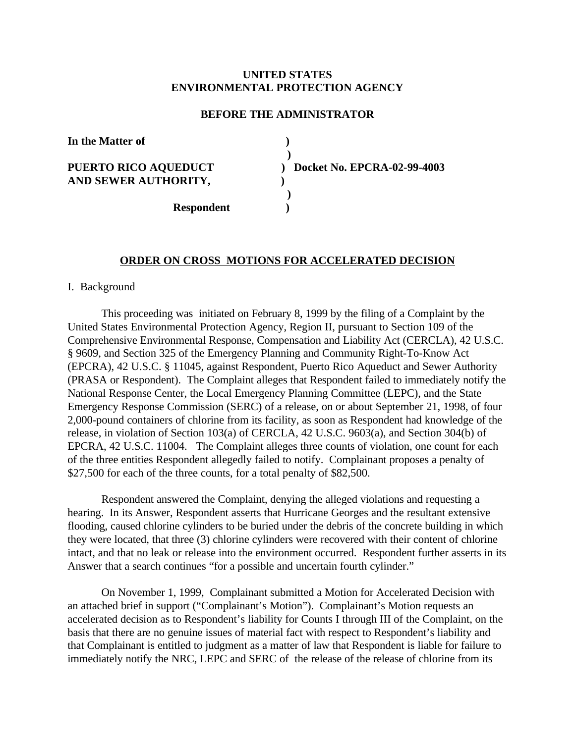# **UNITED STATES ENVIRONMENTAL PROTECTION AGENCY**

## **BEFORE THE ADMINISTRATOR**

**In the Matter of )**

**AND SEWER AUTHORITY, )**

 **) PUERTO RICO AQUEDUCT ) Docket No. EPCRA-02-99-4003 )**

 **Respondent )**

### **ORDER ON CROSS MOTIONS FOR ACCELERATED DECISION**

### I. Background

This proceeding was initiated on February 8, 1999 by the filing of a Complaint by the United States Environmental Protection Agency, Region II, pursuant to Section 109 of the Comprehensive Environmental Response, Compensation and Liability Act (CERCLA), 42 U.S.C. § 9609, and Section 325 of the Emergency Planning and Community Right-To-Know Act (EPCRA), 42 U.S.C. § 11045, against Respondent, Puerto Rico Aqueduct and Sewer Authority (PRASA or Respondent). The Complaint alleges that Respondent failed to immediately notify the National Response Center, the Local Emergency Planning Committee (LEPC), and the State Emergency Response Commission (SERC) of a release, on or about September 21, 1998, of four 2,000-pound containers of chlorine from its facility, as soon as Respondent had knowledge of the release, in violation of Section 103(a) of CERCLA, 42 U.S.C. 9603(a), and Section 304(b) of EPCRA, 42 U.S.C. 11004. The Complaint alleges three counts of violation, one count for each of the three entities Respondent allegedly failed to notify. Complainant proposes a penalty of \$27,500 for each of the three counts, for a total penalty of \$82,500.

Respondent answered the Complaint, denying the alleged violations and requesting a hearing. In its Answer, Respondent asserts that Hurricane Georges and the resultant extensive flooding, caused chlorine cylinders to be buried under the debris of the concrete building in which they were located, that three (3) chlorine cylinders were recovered with their content of chlorine intact, and that no leak or release into the environment occurred. Respondent further asserts in its Answer that a search continues "for a possible and uncertain fourth cylinder."

On November 1, 1999, Complainant submitted a Motion for Accelerated Decision with an attached brief in support ("Complainant's Motion"). Complainant's Motion requests an accelerated decision as to Respondent's liability for Counts I through III of the Complaint, on the basis that there are no genuine issues of material fact with respect to Respondent's liability and that Complainant is entitled to judgment as a matter of law that Respondent is liable for failure to immediately notify the NRC, LEPC and SERC of the release of the release of chlorine from its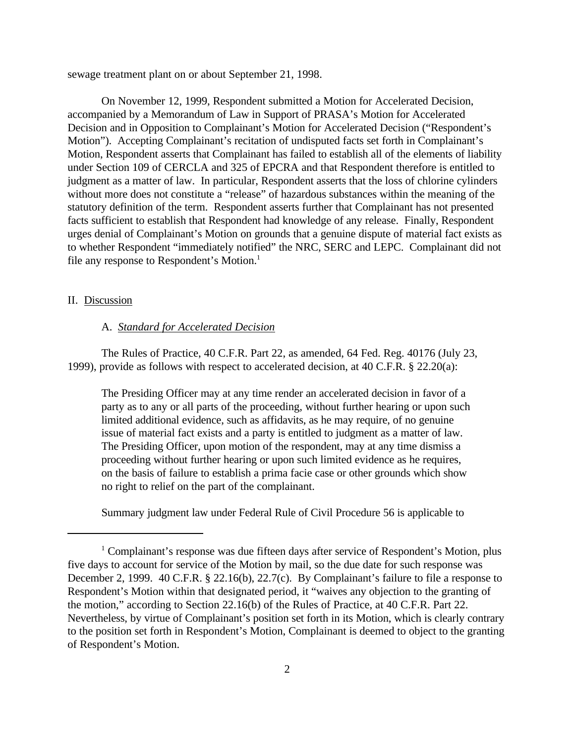sewage treatment plant on or about September 21, 1998.

On November 12, 1999, Respondent submitted a Motion for Accelerated Decision, accompanied by a Memorandum of Law in Support of PRASA's Motion for Accelerated Decision and in Opposition to Complainant's Motion for Accelerated Decision ("Respondent's Motion"). Accepting Complainant's recitation of undisputed facts set forth in Complainant's Motion, Respondent asserts that Complainant has failed to establish all of the elements of liability under Section 109 of CERCLA and 325 of EPCRA and that Respondent therefore is entitled to judgment as a matter of law. In particular, Respondent asserts that the loss of chlorine cylinders without more does not constitute a "release" of hazardous substances within the meaning of the statutory definition of the term. Respondent asserts further that Complainant has not presented facts sufficient to establish that Respondent had knowledge of any release. Finally, Respondent urges denial of Complainant's Motion on grounds that a genuine dispute of material fact exists as to whether Respondent "immediately notified" the NRC, SERC and LEPC. Complainant did not file any response to Respondent's Motion.<sup>1</sup>

### II. Discussion

## A. *Standard for Accelerated Decision*

The Rules of Practice, 40 C.F.R. Part 22, as amended, 64 Fed. Reg. 40176 (July 23, 1999), provide as follows with respect to accelerated decision, at 40 C.F.R. § 22.20(a):

The Presiding Officer may at any time render an accelerated decision in favor of a party as to any or all parts of the proceeding, without further hearing or upon such limited additional evidence, such as affidavits, as he may require, of no genuine issue of material fact exists and a party is entitled to judgment as a matter of law. The Presiding Officer, upon motion of the respondent, may at any time dismiss a proceeding without further hearing or upon such limited evidence as he requires, on the basis of failure to establish a prima facie case or other grounds which show no right to relief on the part of the complainant.

Summary judgment law under Federal Rule of Civil Procedure 56 is applicable to

<sup>&</sup>lt;sup>1</sup> Complainant's response was due fifteen days after service of Respondent's Motion, plus five days to account for service of the Motion by mail, so the due date for such response was December 2, 1999. 40 C.F.R. § 22.16(b), 22.7(c). By Complainant's failure to file a response to Respondent's Motion within that designated period, it "waives any objection to the granting of the motion," according to Section 22.16(b) of the Rules of Practice, at 40 C.F.R. Part 22. Nevertheless, by virtue of Complainant's position set forth in its Motion, which is clearly contrary to the position set forth in Respondent's Motion, Complainant is deemed to object to the granting of Respondent's Motion.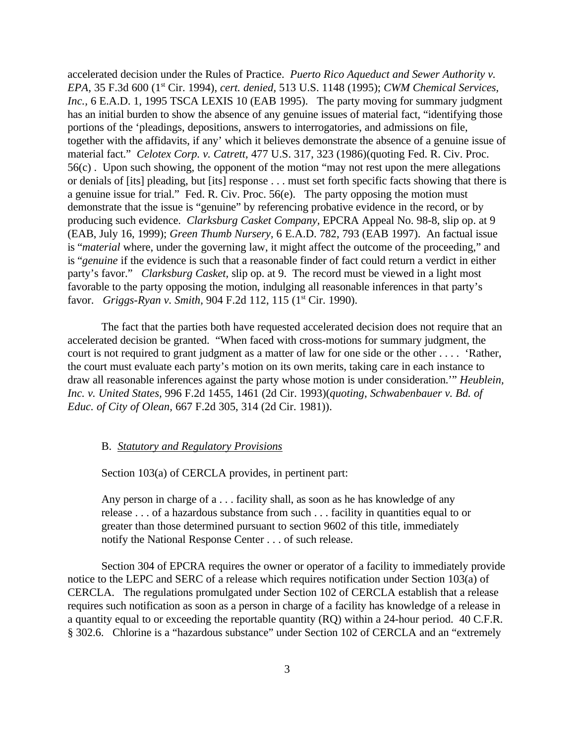accelerated decision under the Rules of Practice. *Puerto Rico Aqueduct and Sewer Authority v. EPA,* 35 F.3d 600 (1st Cir. 1994), *cert. denied,* 513 U.S. 1148 (1995); *CWM Chemical Services, Inc.*, 6 E.A.D. 1, 1995 TSCA LEXIS 10 (EAB 1995). The party moving for summary judgment has an initial burden to show the absence of any genuine issues of material fact, "identifying those portions of the 'pleadings, depositions, answers to interrogatories, and admissions on file, together with the affidavits, if any' which it believes demonstrate the absence of a genuine issue of material fact." *Celotex Corp. v. Catrett,* 477 U.S. 317, 323 (1986)(quoting Fed. R. Civ. Proc. 56(c) . Upon such showing, the opponent of the motion "may not rest upon the mere allegations or denials of [its] pleading, but [its] response . . . must set forth specific facts showing that there is a genuine issue for trial." Fed. R. Civ. Proc. 56(e). The party opposing the motion must demonstrate that the issue is "genuine" by referencing probative evidence in the record, or by producing such evidence. *Clarksburg Casket Company,* EPCRA Appeal No. 98-8, slip op. at 9 (EAB, July 16, 1999); *Green Thumb Nursery,* 6 E.A.D. 782, 793 (EAB 1997). An factual issue is "*material* where, under the governing law, it might affect the outcome of the proceeding," and is "*genuine* if the evidence is such that a reasonable finder of fact could return a verdict in either party's favor." *Clarksburg Casket,* slip op. at 9. The record must be viewed in a light most favorable to the party opposing the motion, indulging all reasonable inferences in that party's favor. *Griggs-Ryan v. Smith, 904 F.2d 112, 115* (1<sup>st</sup> Cir. 1990).

The fact that the parties both have requested accelerated decision does not require that an accelerated decision be granted. "When faced with cross-motions for summary judgment, the court is not required to grant judgment as a matter of law for one side or the other . . . . 'Rather, the court must evaluate each party's motion on its own merits, taking care in each instance to draw all reasonable inferences against the party whose motion is under consideration.'" *Heublein, Inc. v. United States,* 996 F.2d 1455, 1461 (2d Cir. 1993)(*quoting*, *Schwabenbauer v. Bd. of Educ. of City of Olean,* 667 F.2d 305, 314 (2d Cir. 1981)).

### B. *Statutory and Regulatory Provisions*

Section 103(a) of CERCLA provides, in pertinent part:

Any person in charge of a . . . facility shall, as soon as he has knowledge of any release . . . of a hazardous substance from such . . . facility in quantities equal to or greater than those determined pursuant to section 9602 of this title, immediately notify the National Response Center . . . of such release.

Section 304 of EPCRA requires the owner or operator of a facility to immediately provide notice to the LEPC and SERC of a release which requires notification under Section 103(a) of CERCLA. The regulations promulgated under Section 102 of CERCLA establish that a release requires such notification as soon as a person in charge of a facility has knowledge of a release in a quantity equal to or exceeding the reportable quantity (RQ) within a 24-hour period. 40 C.F.R. § 302.6. Chlorine is a "hazardous substance" under Section 102 of CERCLA and an "extremely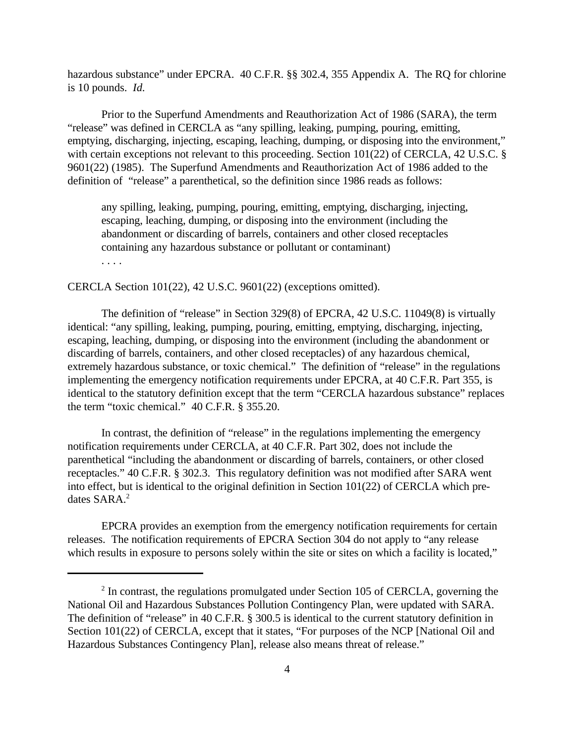hazardous substance" under EPCRA. 40 C.F.R. §§ 302.4, 355 Appendix A. The RQ for chlorine is 10 pounds. *Id.*

Prior to the Superfund Amendments and Reauthorization Act of 1986 (SARA), the term "release" was defined in CERCLA as "any spilling, leaking, pumping, pouring, emitting, emptying, discharging, injecting, escaping, leaching, dumping, or disposing into the environment," with certain exceptions not relevant to this proceeding. Section 101(22) of CERCLA, 42 U.S.C. § 9601(22) (1985). The Superfund Amendments and Reauthorization Act of 1986 added to the definition of "release" a parenthetical, so the definition since 1986 reads as follows:

any spilling, leaking, pumping, pouring, emitting, emptying, discharging, injecting, escaping, leaching, dumping, or disposing into the environment (including the abandonment or discarding of barrels, containers and other closed receptacles containing any hazardous substance or pollutant or contaminant) . . . .

CERCLA Section 101(22), 42 U.S.C. 9601(22) (exceptions omitted).

The definition of "release" in Section 329(8) of EPCRA, 42 U.S.C. 11049(8) is virtually identical: "any spilling, leaking, pumping, pouring, emitting, emptying, discharging, injecting, escaping, leaching, dumping, or disposing into the environment (including the abandonment or discarding of barrels, containers, and other closed receptacles) of any hazardous chemical, extremely hazardous substance, or toxic chemical." The definition of "release" in the regulations implementing the emergency notification requirements under EPCRA, at 40 C.F.R. Part 355, is identical to the statutory definition except that the term "CERCLA hazardous substance" replaces the term "toxic chemical." 40 C.F.R. § 355.20.

In contrast, the definition of "release" in the regulations implementing the emergency notification requirements under CERCLA, at 40 C.F.R. Part 302, does not include the parenthetical "including the abandonment or discarding of barrels, containers, or other closed receptacles." 40 C.F.R. § 302.3. This regulatory definition was not modified after SARA went into effect, but is identical to the original definition in Section 101(22) of CERCLA which predates SARA.<sup>2</sup>

EPCRA provides an exemption from the emergency notification requirements for certain releases. The notification requirements of EPCRA Section 304 do not apply to "any release which results in exposure to persons solely within the site or sites on which a facility is located,"

 $2$  In contrast, the regulations promulgated under Section 105 of CERCLA, governing the National Oil and Hazardous Substances Pollution Contingency Plan, were updated with SARA. The definition of "release" in 40 C.F.R. § 300.5 is identical to the current statutory definition in Section 101(22) of CERCLA, except that it states, "For purposes of the NCP [National Oil and Hazardous Substances Contingency Plan], release also means threat of release."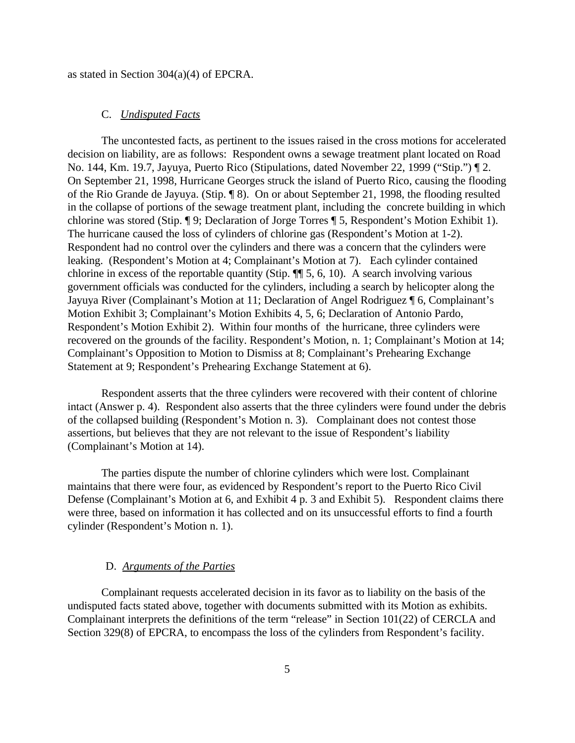as stated in Section 304(a)(4) of EPCRA.

### C. *Undisputed Facts*

The uncontested facts, as pertinent to the issues raised in the cross motions for accelerated decision on liability, are as follows: Respondent owns a sewage treatment plant located on Road No. 144, Km. 19.7, Jayuya, Puerto Rico (Stipulations, dated November 22, 1999 ("Stip.") ¶ 2. On September 21, 1998, Hurricane Georges struck the island of Puerto Rico, causing the flooding of the Rio Grande de Jayuya. (Stip. ¶ 8). On or about September 21, 1998, the flooding resulted in the collapse of portions of the sewage treatment plant, including the concrete building in which chlorine was stored (Stip. ¶ 9; Declaration of Jorge Torres ¶ 5, Respondent's Motion Exhibit 1). The hurricane caused the loss of cylinders of chlorine gas (Respondent's Motion at 1-2). Respondent had no control over the cylinders and there was a concern that the cylinders were leaking. (Respondent's Motion at 4; Complainant's Motion at 7). Each cylinder contained chlorine in excess of the reportable quantity (Stip. ¶¶ 5, 6, 10). A search involving various government officials was conducted for the cylinders, including a search by helicopter along the Jayuya River (Complainant's Motion at 11; Declaration of Angel Rodriguez ¶ 6, Complainant's Motion Exhibit 3; Complainant's Motion Exhibits 4, 5, 6; Declaration of Antonio Pardo, Respondent's Motion Exhibit 2). Within four months of the hurricane, three cylinders were recovered on the grounds of the facility. Respondent's Motion, n. 1; Complainant's Motion at 14; Complainant's Opposition to Motion to Dismiss at 8; Complainant's Prehearing Exchange Statement at 9; Respondent's Prehearing Exchange Statement at 6).

Respondent asserts that the three cylinders were recovered with their content of chlorine intact (Answer p. 4). Respondent also asserts that the three cylinders were found under the debris of the collapsed building (Respondent's Motion n. 3). Complainant does not contest those assertions, but believes that they are not relevant to the issue of Respondent's liability (Complainant's Motion at 14).

The parties dispute the number of chlorine cylinders which were lost. Complainant maintains that there were four, as evidenced by Respondent's report to the Puerto Rico Civil Defense (Complainant's Motion at 6, and Exhibit 4 p. 3 and Exhibit 5). Respondent claims there were three, based on information it has collected and on its unsuccessful efforts to find a fourth cylinder (Respondent's Motion n. 1).

#### D. *Arguments of the Parties*

Complainant requests accelerated decision in its favor as to liability on the basis of the undisputed facts stated above, together with documents submitted with its Motion as exhibits. Complainant interprets the definitions of the term "release" in Section 101(22) of CERCLA and Section 329(8) of EPCRA, to encompass the loss of the cylinders from Respondent's facility.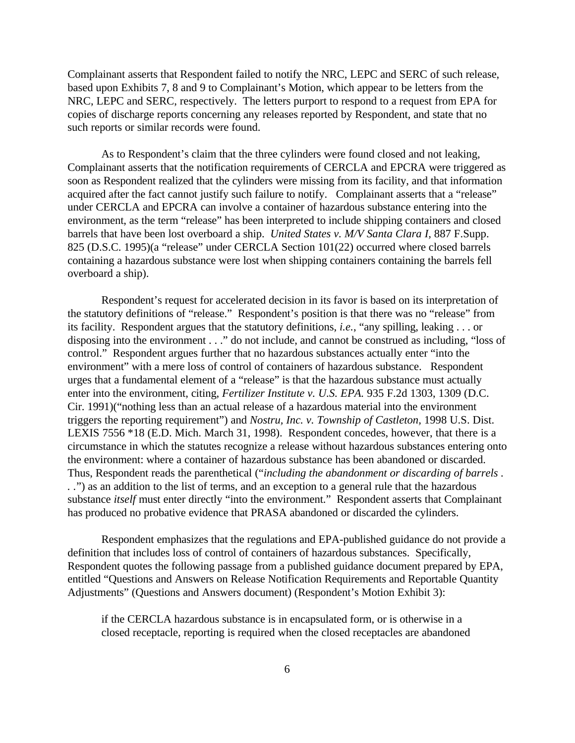Complainant asserts that Respondent failed to notify the NRC, LEPC and SERC of such release, based upon Exhibits 7, 8 and 9 to Complainant's Motion, which appear to be letters from the NRC, LEPC and SERC, respectively. The letters purport to respond to a request from EPA for copies of discharge reports concerning any releases reported by Respondent, and state that no such reports or similar records were found.

As to Respondent's claim that the three cylinders were found closed and not leaking, Complainant asserts that the notification requirements of CERCLA and EPCRA were triggered as soon as Respondent realized that the cylinders were missing from its facility, and that information acquired after the fact cannot justify such failure to notify. Complainant asserts that a "release" under CERCLA and EPCRA can involve a container of hazardous substance entering into the environment, as the term "release" has been interpreted to include shipping containers and closed barrels that have been lost overboard a ship. *United States v. M/V Santa Clara I,* 887 F.Supp. 825 (D.S.C. 1995)(a "release" under CERCLA Section 101(22) occurred where closed barrels containing a hazardous substance were lost when shipping containers containing the barrels fell overboard a ship).

Respondent's request for accelerated decision in its favor is based on its interpretation of the statutory definitions of "release." Respondent's position is that there was no "release" from its facility. Respondent argues that the statutory definitions, *i.e.*, "any spilling, leaking . . . or disposing into the environment . . ." do not include, and cannot be construed as including, "loss of control." Respondent argues further that no hazardous substances actually enter "into the environment" with a mere loss of control of containers of hazardous substance. Respondent urges that a fundamental element of a "release" is that the hazardous substance must actually enter into the environment, citing, *Fertilizer Institute v. U.S. EPA*. 935 F.2d 1303, 1309 (D.C. Cir. 1991)("nothing less than an actual release of a hazardous material into the environment triggers the reporting requirement") and *Nostru, Inc. v. Township of Castleton,* 1998 U.S. Dist. LEXIS 7556 \*18 (E.D. Mich. March 31, 1998). Respondent concedes, however, that there is a circumstance in which the statutes recognize a release without hazardous substances entering onto the environment: where a container of hazardous substance has been abandoned or discarded. Thus, Respondent reads the parenthetical ("*including the abandonment or discarding of barrels . . .*") as an addition to the list of terms, and an exception to a general rule that the hazardous substance *itself* must enter directly "into the environment." Respondent asserts that Complainant has produced no probative evidence that PRASA abandoned or discarded the cylinders.

Respondent emphasizes that the regulations and EPA-published guidance do not provide a definition that includes loss of control of containers of hazardous substances. Specifically, Respondent quotes the following passage from a published guidance document prepared by EPA, entitled "Questions and Answers on Release Notification Requirements and Reportable Quantity Adjustments" (Questions and Answers document) (Respondent's Motion Exhibit 3):

if the CERCLA hazardous substance is in encapsulated form, or is otherwise in a closed receptacle, reporting is required when the closed receptacles are abandoned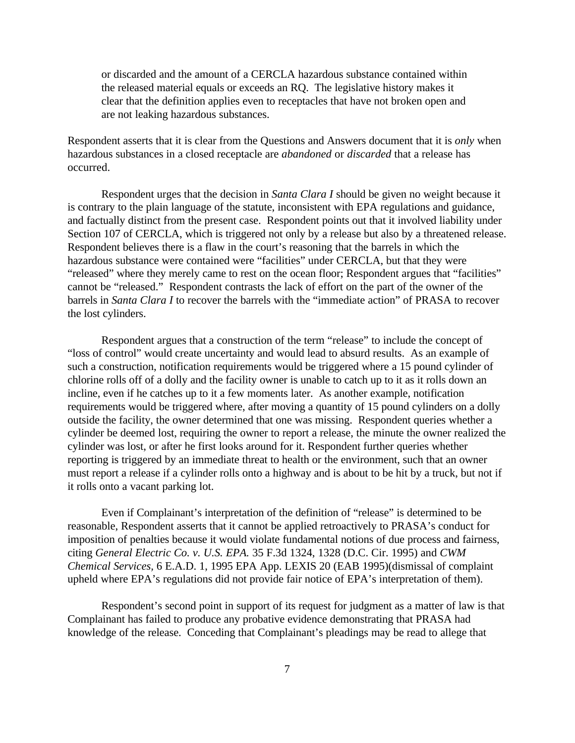or discarded and the amount of a CERCLA hazardous substance contained within the released material equals or exceeds an RQ. The legislative history makes it clear that the definition applies even to receptacles that have not broken open and are not leaking hazardous substances.

Respondent asserts that it is clear from the Questions and Answers document that it is *only* when hazardous substances in a closed receptacle are *abandoned* or *discarded* that a release has occurred.

Respondent urges that the decision in *Santa Clara I* should be given no weight because it is contrary to the plain language of the statute, inconsistent with EPA regulations and guidance, and factually distinct from the present case. Respondent points out that it involved liability under Section 107 of CERCLA, which is triggered not only by a release but also by a threatened release. Respondent believes there is a flaw in the court's reasoning that the barrels in which the hazardous substance were contained were "facilities" under CERCLA, but that they were "released" where they merely came to rest on the ocean floor; Respondent argues that "facilities" cannot be "released." Respondent contrasts the lack of effort on the part of the owner of the barrels in *Santa Clara I* to recover the barrels with the "immediate action" of PRASA to recover the lost cylinders.

Respondent argues that a construction of the term "release" to include the concept of "loss of control" would create uncertainty and would lead to absurd results. As an example of such a construction, notification requirements would be triggered where a 15 pound cylinder of chlorine rolls off of a dolly and the facility owner is unable to catch up to it as it rolls down an incline, even if he catches up to it a few moments later. As another example, notification requirements would be triggered where, after moving a quantity of 15 pound cylinders on a dolly outside the facility, the owner determined that one was missing. Respondent queries whether a cylinder be deemed lost, requiring the owner to report a release, the minute the owner realized the cylinder was lost, or after he first looks around for it. Respondent further queries whether reporting is triggered by an immediate threat to health or the environment, such that an owner must report a release if a cylinder rolls onto a highway and is about to be hit by a truck, but not if it rolls onto a vacant parking lot.

Even if Complainant's interpretation of the definition of "release" is determined to be reasonable, Respondent asserts that it cannot be applied retroactively to PRASA's conduct for imposition of penalties because it would violate fundamental notions of due process and fairness, citing *General Electric Co. v. U.S. EPA.* 35 F.3d 1324, 1328 (D.C. Cir. 1995) and *CWM Chemical Services,* 6 E.A.D. 1, 1995 EPA App. LEXIS 20 (EAB 1995)(dismissal of complaint upheld where EPA's regulations did not provide fair notice of EPA's interpretation of them).

Respondent's second point in support of its request for judgment as a matter of law is that Complainant has failed to produce any probative evidence demonstrating that PRASA had knowledge of the release. Conceding that Complainant's pleadings may be read to allege that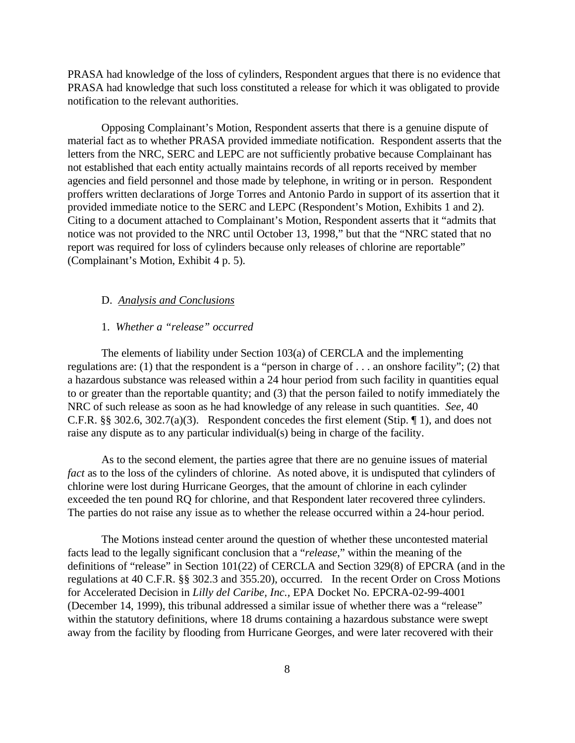PRASA had knowledge of the loss of cylinders, Respondent argues that there is no evidence that PRASA had knowledge that such loss constituted a release for which it was obligated to provide notification to the relevant authorities.

Opposing Complainant's Motion, Respondent asserts that there is a genuine dispute of material fact as to whether PRASA provided immediate notification. Respondent asserts that the letters from the NRC, SERC and LEPC are not sufficiently probative because Complainant has not established that each entity actually maintains records of all reports received by member agencies and field personnel and those made by telephone, in writing or in person. Respondent proffers written declarations of Jorge Torres and Antonio Pardo in support of its assertion that it provided immediate notice to the SERC and LEPC (Respondent's Motion, Exhibits 1 and 2). Citing to a document attached to Complainant's Motion, Respondent asserts that it "admits that notice was not provided to the NRC until October 13, 1998," but that the "NRC stated that no report was required for loss of cylinders because only releases of chlorine are reportable" (Complainant's Motion, Exhibit 4 p. 5).

### D. *Analysis and Conclusions*

## 1. *Whether a "release" occurred*

The elements of liability under Section 103(a) of CERCLA and the implementing regulations are: (1) that the respondent is a "person in charge of . . . an onshore facility"; (2) that a hazardous substance was released within a 24 hour period from such facility in quantities equal to or greater than the reportable quantity; and (3) that the person failed to notify immediately the NRC of such release as soon as he had knowledge of any release in such quantities. *See,* 40 C.F.R. §§ 302.6, 302.7(a)(3). Respondent concedes the first element (Stip. ¶ 1), and does not raise any dispute as to any particular individual(s) being in charge of the facility.

As to the second element, the parties agree that there are no genuine issues of material *fact* as to the loss of the cylinders of chlorine. As noted above, it is undisputed that cylinders of chlorine were lost during Hurricane Georges, that the amount of chlorine in each cylinder exceeded the ten pound RQ for chlorine, and that Respondent later recovered three cylinders. The parties do not raise any issue as to whether the release occurred within a 24-hour period.

The Motions instead center around the question of whether these uncontested material facts lead to the legally significant conclusion that a "*release*," within the meaning of the definitions of "release" in Section 101(22) of CERCLA and Section 329(8) of EPCRA (and in the regulations at 40 C.F.R. §§ 302.3 and 355.20), occurred. In the recent Order on Cross Motions for Accelerated Decision in *Lilly del Caribe, Inc.,* EPA Docket No. EPCRA-02-99-4001 (December 14, 1999), this tribunal addressed a similar issue of whether there was a "release" within the statutory definitions, where 18 drums containing a hazardous substance were swept away from the facility by flooding from Hurricane Georges, and were later recovered with their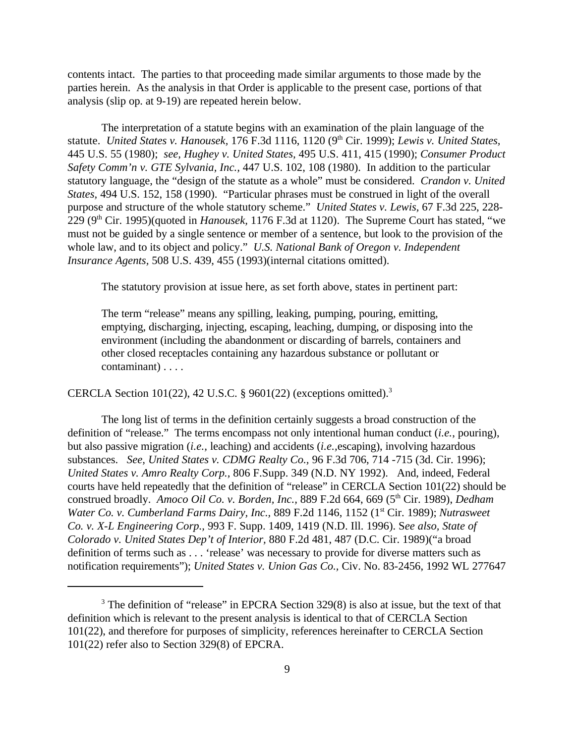contents intact. The parties to that proceeding made similar arguments to those made by the parties herein. As the analysis in that Order is applicable to the present case, portions of that analysis (slip op. at 9-19) are repeated herein below.

The interpretation of a statute begins with an examination of the plain language of the statute. *United States v. Hanousek*, 176 F.3d 1116, 1120 (9<sup>th</sup> Cir. 1999); *Lewis v. United States*, 445 U.S. 55 (1980); *see, Hughey v. United States,* 495 U.S. 411, 415 (1990); *Consumer Product Safety Comm'n v. GTE Sylvania, Inc.,* 447 U.S. 102, 108 (1980). In addition to the particular statutory language, the "design of the statute as a whole" must be considered. *Crandon v. United States,* 494 U.S. 152, 158 (1990). "Particular phrases must be construed in light of the overall purpose and structure of the whole statutory scheme." *United States v. Lewis,* 67 F.3d 225, 228- 229 (9th Cir. 1995)(quoted in *Hanousek,* 1176 F.3d at 1120). The Supreme Court has stated, "we must not be guided by a single sentence or member of a sentence, but look to the provision of the whole law, and to its object and policy." *U.S. National Bank of Oregon v. Independent Insurance Agents,* 508 U.S. 439, 455 (1993)(internal citations omitted).

The statutory provision at issue here, as set forth above, states in pertinent part:

The term "release" means any spilling, leaking, pumping, pouring, emitting, emptying, discharging, injecting, escaping, leaching, dumping, or disposing into the environment (including the abandonment or discarding of barrels, containers and other closed receptacles containing any hazardous substance or pollutant or contaminant) . . . .

CERCLA Section  $101(22)$ , 42 U.S.C. § 9601(22) (exceptions omitted).<sup>3</sup>

The long list of terms in the definition certainly suggests a broad construction of the definition of "release." The terms encompass not only intentional human conduct (*i.e.*, pouring), but also passive migration (*i.e.,* leaching) and accidents (*i.e.,*escaping), involving hazardous substances. *See, United States v. CDMG Realty Co.,* 96 F.3d 706, 714 -715 (3d. Cir. 1996); *United States v. Amro Realty Corp.,* 806 F.Supp. 349 (N.D. NY 1992). And, indeed, Federal courts have held repeatedly that the definition of "release" in CERCLA Section 101(22) should be construed broadly. Amoco Oil Co. v. Borden, Inc., 889 F.2d 664, 669 (5<sup>th</sup> Cir. 1989), *Dedham Water Co. v. Cumberland Farms Dairy, Inc., 889 F.2d 1146, 1152 (1<sup>st</sup> Cir. 1989); <i>Nutrasweet Co. v. X-L Engineering Corp.,* 993 F. Supp. 1409, 1419 (N.D. Ill. 1996). S*ee also, State of Colorado v. United States Dep't of Interior,* 880 F.2d 481, 487 (D.C. Cir. 1989)("a broad definition of terms such as . . . 'release' was necessary to provide for diverse matters such as notification requirements"); *United States v. Union Gas Co.,* Civ. No. 83-2456, 1992 WL 277647

 $3$  The definition of "release" in EPCRA Section 329(8) is also at issue, but the text of that definition which is relevant to the present analysis is identical to that of CERCLA Section 101(22), and therefore for purposes of simplicity, references hereinafter to CERCLA Section 101(22) refer also to Section 329(8) of EPCRA.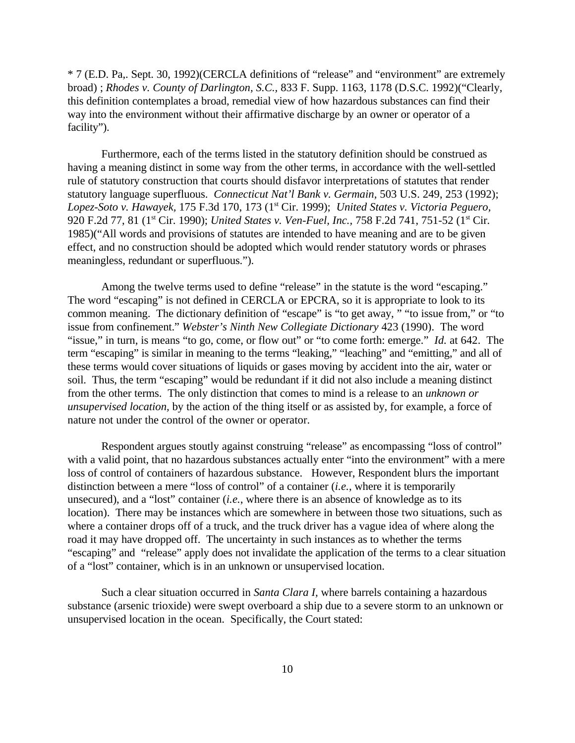\* 7 (E.D. Pa,. Sept. 30, 1992)(CERCLA definitions of "release" and "environment" are extremely broad) ; *Rhodes v. County of Darlington, S.C.,* 833 F. Supp. 1163, 1178 (D.S.C. 1992)("Clearly, this definition contemplates a broad, remedial view of how hazardous substances can find their way into the environment without their affirmative discharge by an owner or operator of a facility").

Furthermore, each of the terms listed in the statutory definition should be construed as having a meaning distinct in some way from the other terms, in accordance with the well-settled rule of statutory construction that courts should disfavor interpretations of statutes that render statutory language superfluous. *Connecticut Nat'l Bank v. Germain,* 503 U.S. 249, 253 (1992); *Lopez-Soto v. Hawayek,* 175 F.3d 170, 173 (1st Cir. 1999); *United States v. Victoria Peguero,* 920 F.2d 77, 81 (1<sup>st</sup> Cir. 1990); *United States v. Ven-Fuel, Inc., 758 F.2d 741, 751-52* (1<sup>st</sup> Cir. 1985)("All words and provisions of statutes are intended to have meaning and are to be given effect, and no construction should be adopted which would render statutory words or phrases meaningless, redundant or superfluous.").

Among the twelve terms used to define "release" in the statute is the word "escaping." The word "escaping" is not defined in CERCLA or EPCRA, so it is appropriate to look to its common meaning. The dictionary definition of "escape" is "to get away, " "to issue from," or "to issue from confinement." *Webster's Ninth New Collegiate Dictionary* 423 (1990). The word "issue," in turn, is means "to go, come, or flow out" or "to come forth: emerge." *Id.* at 642. The term "escaping" is similar in meaning to the terms "leaking," "leaching" and "emitting," and all of these terms would cover situations of liquids or gases moving by accident into the air, water or soil. Thus, the term "escaping" would be redundant if it did not also include a meaning distinct from the other terms. The only distinction that comes to mind is a release to an *unknown or unsupervised location,* by the action of the thing itself or as assisted by, for example, a force of nature not under the control of the owner or operator.

Respondent argues stoutly against construing "release" as encompassing "loss of control" with a valid point, that no hazardous substances actually enter "into the environment" with a mere loss of control of containers of hazardous substance. However, Respondent blurs the important distinction between a mere "loss of control" of a container (*i.e.*, where it is temporarily unsecured), and a "lost" container (*i.e.*, where there is an absence of knowledge as to its location). There may be instances which are somewhere in between those two situations, such as where a container drops off of a truck, and the truck driver has a vague idea of where along the road it may have dropped off. The uncertainty in such instances as to whether the terms "escaping" and "release" apply does not invalidate the application of the terms to a clear situation of a "lost" container, which is in an unknown or unsupervised location.

Such a clear situation occurred in *Santa Clara I,* where barrels containing a hazardous substance (arsenic trioxide) were swept overboard a ship due to a severe storm to an unknown or unsupervised location in the ocean. Specifically, the Court stated: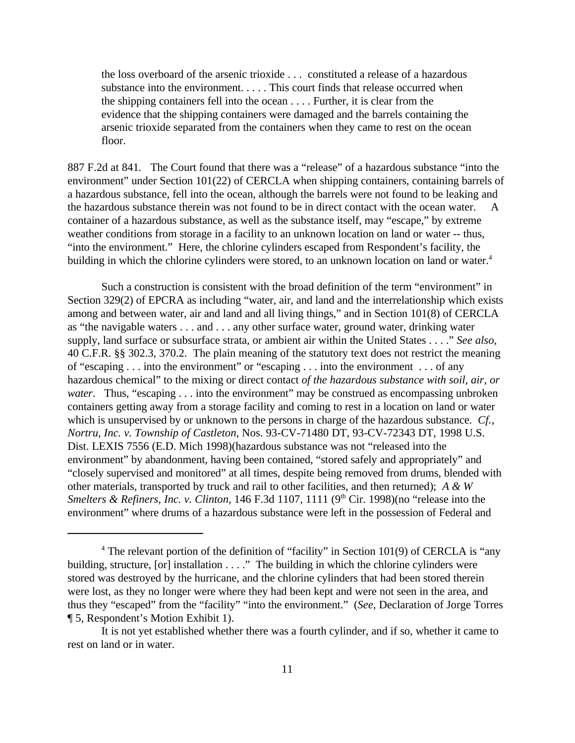the loss overboard of the arsenic trioxide . . . constituted a release of a hazardous substance into the environment. . . . . This court finds that release occurred when the shipping containers fell into the ocean . . . . Further, it is clear from the evidence that the shipping containers were damaged and the barrels containing the arsenic trioxide separated from the containers when they came to rest on the ocean floor.

887 F.2d at 841*.* The Court found that there was a "release" of a hazardous substance "into the environment" under Section 101(22) of CERCLA when shipping containers, containing barrels of a hazardous substance, fell into the ocean, although the barrels were not found to be leaking and the hazardous substance therein was not found to be in direct contact with the ocean water. A container of a hazardous substance, as well as the substance itself, may "escape," by extreme weather conditions from storage in a facility to an unknown location on land or water -- thus, "into the environment." Here, the chlorine cylinders escaped from Respondent's facility, the building in which the chlorine cylinders were stored, to an unknown location on land or water.<sup>4</sup>

Such a construction is consistent with the broad definition of the term "environment" in Section 329(2) of EPCRA as including "water, air, and land and the interrelationship which exists among and between water, air and land and all living things," and in Section 101(8) of CERCLA as "the navigable waters . . . and . . . any other surface water, ground water, drinking water supply, land surface or subsurface strata, or ambient air within the United States . . . ." *See also,* 40 C.F.R. §§ 302.3, 370.2. The plain meaning of the statutory text does not restrict the meaning of "escaping . . . into the environment" or "escaping . . . into the environment . . . of any hazardous chemical" to the mixing or direct contact *of the hazardous substance with soil, air, or water*. Thus, "escaping . . . into the environment" may be construed as encompassing unbroken containers getting away from a storage facility and coming to rest in a location on land or water which is unsupervised by or unknown to the persons in charge of the hazardous substance. *Cf., Nortru, Inc. v. Township of Castleton,* Nos. 93-CV-71480 DT, 93-CV-72343 DT, 1998 U.S. Dist. LEXIS 7556 (E.D. Mich 1998)(hazardous substance was not "released into the environment" by abandonment, having been contained, "stored safely and appropriately" and "closely supervised and monitored" at all times, despite being removed from drums, blended with other materials, transported by truck and rail to other facilities, and then returned); *A & W Smelters & Refiners, Inc. v. Clinton, 146 F.3d 1107, 1111* (9<sup>th</sup> Cir. 1998)(no "release into the environment" where drums of a hazardous substance were left in the possession of Federal and

<sup>&</sup>lt;sup>4</sup> The relevant portion of the definition of "facility" in Section 101(9) of CERCLA is "any building, structure, [or] installation . . . ." The building in which the chlorine cylinders were stored was destroyed by the hurricane, and the chlorine cylinders that had been stored therein were lost, as they no longer were where they had been kept and were not seen in the area, and thus they "escaped" from the "facility" "into the environment." (*See,* Declaration of Jorge Torres ¶ 5, Respondent's Motion Exhibit 1).

It is not yet established whether there was a fourth cylinder, and if so, whether it came to rest on land or in water.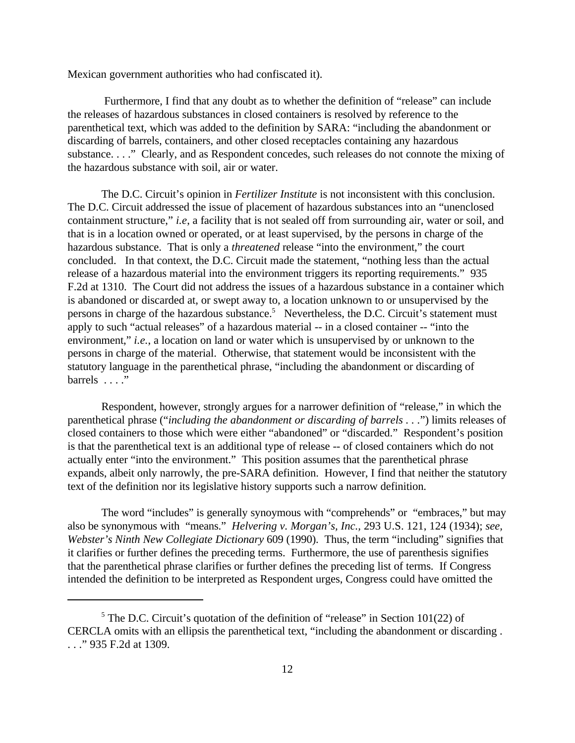Mexican government authorities who had confiscated it).

 Furthermore, I find that any doubt as to whether the definition of "release" can include the releases of hazardous substances in closed containers is resolved by reference to the parenthetical text, which was added to the definition by SARA: "including the abandonment or discarding of barrels, containers, and other closed receptacles containing any hazardous substance. . . ." Clearly, and as Respondent concedes, such releases do not connote the mixing of the hazardous substance with soil, air or water.

The D.C. Circuit's opinion in *Fertilizer Institute* is not inconsistent with this conclusion. The D.C. Circuit addressed the issue of placement of hazardous substances into an "unenclosed containment structure," *i.e*, a facility that is not sealed off from surrounding air, water or soil, and that is in a location owned or operated, or at least supervised, by the persons in charge of the hazardous substance. That is only a *threatened* release "into the environment," the court concluded. In that context, the D.C. Circuit made the statement, "nothing less than the actual release of a hazardous material into the environment triggers its reporting requirements." 935 F.2d at 1310. The Court did not address the issues of a hazardous substance in a container which is abandoned or discarded at, or swept away to, a location unknown to or unsupervised by the persons in charge of the hazardous substance.<sup>5</sup> Nevertheless, the D.C. Circuit's statement must apply to such "actual releases" of a hazardous material -- in a closed container -- "into the environment," *i.e.*, a location on land or water which is unsupervised by or unknown to the persons in charge of the material. Otherwise, that statement would be inconsistent with the statutory language in the parenthetical phrase, "including the abandonment or discarding of barrels . . . ."

Respondent, however, strongly argues for a narrower definition of "release," in which the parenthetical phrase ("*including the abandonment or discarding of barrels . . .*") limits releases of closed containers to those which were either "abandoned" or "discarded." Respondent's position is that the parenthetical text is an additional type of release -- of closed containers which do not actually enter "into the environment." This position assumes that the parenthetical phrase expands, albeit only narrowly, the pre-SARA definition. However, I find that neither the statutory text of the definition nor its legislative history supports such a narrow definition.

The word "includes" is generally synoymous with "comprehends" or "embraces," but may also be synonymous with "means." *Helvering v. Morgan's, Inc.,* 293 U.S. 121, 124 (1934); *see, Webster's Ninth New Collegiate Dictionary* 609 (1990). Thus, the term "including" signifies that it clarifies or further defines the preceding terms. Furthermore, the use of parenthesis signifies that the parenthetical phrase clarifies or further defines the preceding list of terms. If Congress intended the definition to be interpreted as Respondent urges, Congress could have omitted the

 $<sup>5</sup>$  The D.C. Circuit's quotation of the definition of "release" in Section 101(22) of</sup> CERCLA omits with an ellipsis the parenthetical text, "including the abandonment or discarding . . . ." 935 F.2d at 1309.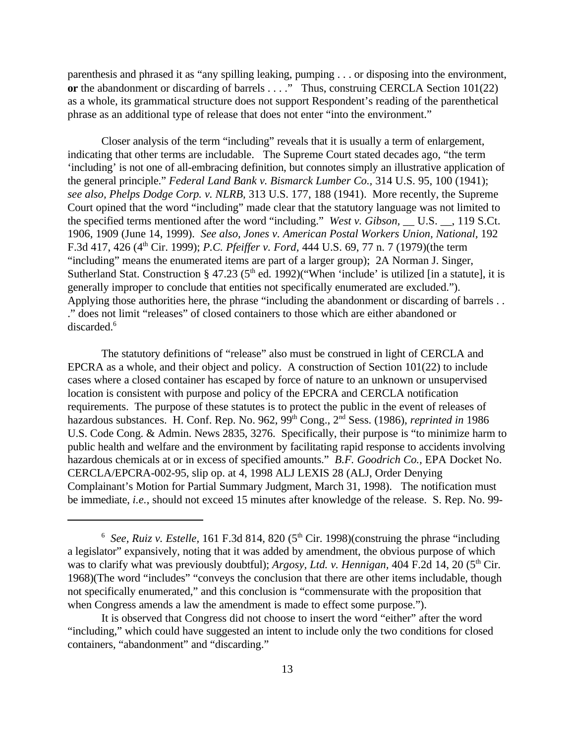parenthesis and phrased it as "any spilling leaking, pumping . . . or disposing into the environment, **or** the abandonment or discarding of barrels . . . ." Thus, construing CERCLA Section 101(22) as a whole, its grammatical structure does not support Respondent's reading of the parenthetical phrase as an additional type of release that does not enter "into the environment."

Closer analysis of the term "including" reveals that it is usually a term of enlargement, indicating that other terms are includable. The Supreme Court stated decades ago, "the term 'including' is not one of all-embracing definition, but connotes simply an illustrative application of the general principle." *Federal Land Bank v. Bismarck Lumber Co.,* 314 U.S. 95, 100 (1941); *see also, Phelps Dodge Corp. v. NLRB,* 313 U.S. 177, 188 (1941). More recently, the Supreme Court opined that the word "including" made clear that the statutory language was not limited to the specified terms mentioned after the word "including." *West v. Gibson,* \_\_ U.S. \_\_, 119 S.Ct. 1906, 1909 (June 14, 1999). *See also, Jones v. American Postal Workers Union, National,* 192 F.3d 417, 426 (4th Cir. 1999); *P.C. Pfeiffer v. Ford,* 444 U.S. 69, 77 n. 7 (1979)(the term "including" means the enumerated items are part of a larger group); 2A Norman J. Singer, Sutherland Stat. Construction § 47.23 ( $5<sup>th</sup>$  ed. 1992)("When 'include' is utilized [in a statute], it is generally improper to conclude that entities not specifically enumerated are excluded."). Applying those authorities here, the phrase "including the abandonment or discarding of barrels . . ." does not limit "releases" of closed containers to those which are either abandoned or discarded.<sup>6</sup>

The statutory definitions of "release" also must be construed in light of CERCLA and EPCRA as a whole, and their object and policy. A construction of Section 101(22) to include cases where a closed container has escaped by force of nature to an unknown or unsupervised location is consistent with purpose and policy of the EPCRA and CERCLA notification requirements. The purpose of these statutes is to protect the public in the event of releases of hazardous substances. H. Conf. Rep. No. 962, 99<sup>th</sup> Cong., 2<sup>nd</sup> Sess. (1986), *reprinted in* 1986 U.S. Code Cong. & Admin. News 2835, 3276. Specifically, their purpose is "to minimize harm to public health and welfare and the environment by facilitating rapid response to accidents involving hazardous chemicals at or in excess of specified amounts." *B.F. Goodrich Co.,* EPA Docket No. CERCLA/EPCRA-002-95, slip op. at 4, 1998 ALJ LEXIS 28 (ALJ, Order Denying Complainant's Motion for Partial Summary Judgment, March 31, 1998). The notification must be immediate, *i.e.*, should not exceed 15 minutes after knowledge of the release. S. Rep. No. 99-

<sup>&</sup>lt;sup>6</sup> See, Ruiz v. Estelle, 161 F.3d 814, 820 (5<sup>th</sup> Cir. 1998)(construing the phrase "including a legislator" expansively, noting that it was added by amendment, the obvious purpose of which was to clarify what was previously doubtful); *Argosy, Ltd. v. Hennigan*, 404 F.2d 14, 20 (5<sup>th</sup> Cir. 1968)(The word "includes" "conveys the conclusion that there are other items includable, though not specifically enumerated," and this conclusion is "commensurate with the proposition that when Congress amends a law the amendment is made to effect some purpose.").

It is observed that Congress did not choose to insert the word "either" after the word "including," which could have suggested an intent to include only the two conditions for closed containers, "abandonment" and "discarding."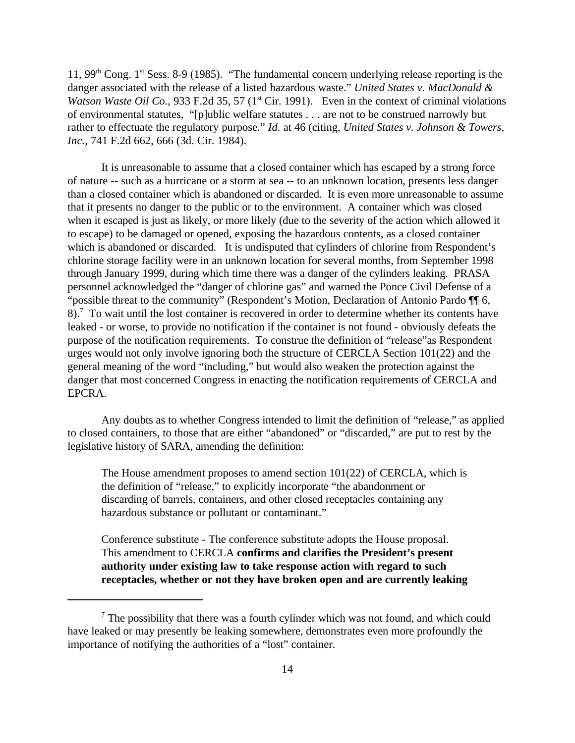11, 99<sup>th</sup> Cong. 1<sup>st</sup> Sess. 8-9 (1985). "The fundamental concern underlying release reporting is the danger associated with the release of a listed hazardous waste." *United States v. MacDonald & Watson Waste Oil Co., 933 F.2d 35, 57 (1<sup>st</sup> Cir. 1991). Even in the context of criminal violations* of environmental statutes, "[p]ublic welfare statutes . . . are not to be construed narrowly but rather to effectuate the regulatory purpose." *Id.* at 46 (citing, *United States v. Johnson & Towers, Inc.,* 741 F.2d 662, 666 (3d. Cir. 1984).

It is unreasonable to assume that a closed container which has escaped by a strong force of nature -- such as a hurricane or a storm at sea -- to an unknown location, presents less danger than a closed container which is abandoned or discarded. It is even more unreasonable to assume that it presents no danger to the public or to the environment. A container which was closed when it escaped is just as likely, or more likely (due to the severity of the action which allowed it to escape) to be damaged or opened, exposing the hazardous contents, as a closed container which is abandoned or discarded. It is undisputed that cylinders of chlorine from Respondent's chlorine storage facility were in an unknown location for several months, from September 1998 through January 1999, during which time there was a danger of the cylinders leaking. PRASA personnel acknowledged the "danger of chlorine gas" and warned the Ponce Civil Defense of a "possible threat to the community" (Respondent's Motion, Declaration of Antonio Pardo ¶¶ 6,  $8$ ).<sup>7</sup> To wait until the lost container is recovered in order to determine whether its contents have leaked - or worse, to provide no notification if the container is not found - obviously defeats the purpose of the notification requirements. To construe the definition of "release"as Respondent urges would not only involve ignoring both the structure of CERCLA Section 101(22) and the general meaning of the word "including," but would also weaken the protection against the danger that most concerned Congress in enacting the notification requirements of CERCLA and EPCRA.

Any doubts as to whether Congress intended to limit the definition of "release," as applied to closed containers, to those that are either "abandoned" or "discarded," are put to rest by the legislative history of SARA, amending the definition:

The House amendment proposes to amend section 101(22) of CERCLA, which is the definition of "release," to explicitly incorporate "the abandonment or discarding of barrels, containers, and other closed receptacles containing any hazardous substance or pollutant or contaminant."

Conference substitute - The conference substitute adopts the House proposal. This amendment to CERCLA **confirms and clarifies the President's present authority under existing law to take response action with regard to such receptacles, whether or not they have broken open and are currently leaking**

 $<sup>7</sup>$  The possibility that there was a fourth cylinder which was not found, and which could</sup> have leaked or may presently be leaking somewhere, demonstrates even more profoundly the importance of notifying the authorities of a "lost" container.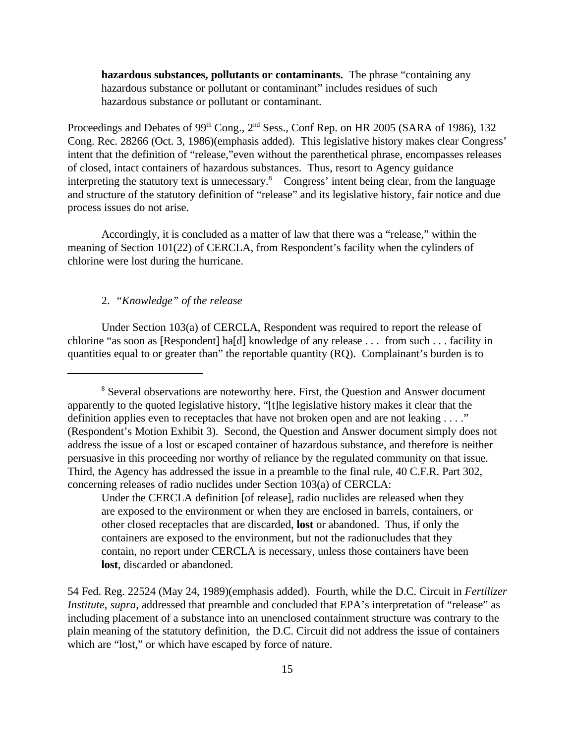**hazardous substances, pollutants or contaminants.** The phrase "containing any hazardous substance or pollutant or contaminant" includes residues of such hazardous substance or pollutant or contaminant.

Proceedings and Debates of 99<sup>th</sup> Cong., 2<sup>nd</sup> Sess., Conf Rep. on HR 2005 (SARA of 1986), 132 Cong. Rec. 28266 (Oct. 3, 1986)(emphasis added). This legislative history makes clear Congress' intent that the definition of "release,"even without the parenthetical phrase, encompasses releases of closed, intact containers of hazardous substances. Thus, resort to Agency guidance interpreting the statutory text is unnecessary.<sup>8</sup> Congress' intent being clear, from the language and structure of the statutory definition of "release" and its legislative history, fair notice and due process issues do not arise.

Accordingly, it is concluded as a matter of law that there was a "release," within the meaning of Section 101(22) of CERCLA, from Respondent's facility when the cylinders of chlorine were lost during the hurricane.

# 2. *"Knowledge" of the release*

Under Section 103(a) of CERCLA, Respondent was required to report the release of chlorine "as soon as [Respondent] ha[d] knowledge of any release . . . from such . . . facility in quantities equal to or greater than" the reportable quantity (RQ). Complainant's burden is to

54 Fed. Reg. 22524 (May 24, 1989)(emphasis added). Fourth, while the D.C. Circuit in *Fertilizer Institute, supra, addressed that preamble and concluded that EPA's interpretation of "release" as* including placement of a substance into an unenclosed containment structure was contrary to the plain meaning of the statutory definition, the D.C. Circuit did not address the issue of containers which are "lost," or which have escaped by force of nature.

<sup>&</sup>lt;sup>8</sup> Several observations are noteworthy here. First, the Question and Answer document apparently to the quoted legislative history, "[t]he legislative history makes it clear that the definition applies even to receptacles that have not broken open and are not leaking . . . ." (Respondent's Motion Exhibit 3). Second, the Question and Answer document simply does not address the issue of a lost or escaped container of hazardous substance, and therefore is neither persuasive in this proceeding nor worthy of reliance by the regulated community on that issue. Third, the Agency has addressed the issue in a preamble to the final rule, 40 C.F.R. Part 302, concerning releases of radio nuclides under Section 103(a) of CERCLA:

Under the CERCLA definition [of release], radio nuclides are released when they are exposed to the environment or when they are enclosed in barrels, containers, or other closed receptacles that are discarded, **lost** or abandoned. Thus, if only the containers are exposed to the environment, but not the radionucludes that they contain, no report under CERCLA is necessary, unless those containers have been **lost**, discarded or abandoned.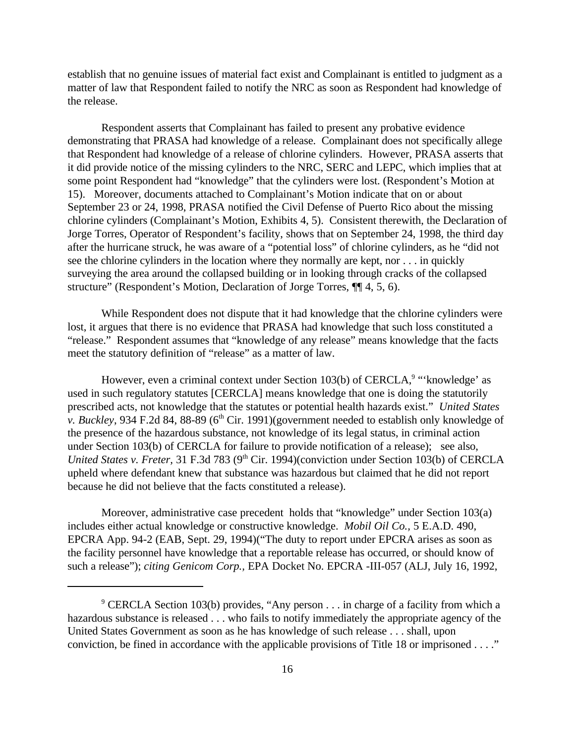establish that no genuine issues of material fact exist and Complainant is entitled to judgment as a matter of law that Respondent failed to notify the NRC as soon as Respondent had knowledge of the release.

Respondent asserts that Complainant has failed to present any probative evidence demonstrating that PRASA had knowledge of a release. Complainant does not specifically allege that Respondent had knowledge of a release of chlorine cylinders. However, PRASA asserts that it did provide notice of the missing cylinders to the NRC, SERC and LEPC, which implies that at some point Respondent had "knowledge" that the cylinders were lost. (Respondent's Motion at 15). Moreover, documents attached to Complainant's Motion indicate that on or about September 23 or 24, 1998, PRASA notified the Civil Defense of Puerto Rico about the missing chlorine cylinders (Complainant's Motion, Exhibits 4, 5). Consistent therewith, the Declaration of Jorge Torres, Operator of Respondent's facility, shows that on September 24, 1998, the third day after the hurricane struck, he was aware of a "potential loss" of chlorine cylinders, as he "did not see the chlorine cylinders in the location where they normally are kept, nor . . . in quickly surveying the area around the collapsed building or in looking through cracks of the collapsed structure" (Respondent's Motion, Declaration of Jorge Torres, ¶¶ 4, 5, 6).

While Respondent does not dispute that it had knowledge that the chlorine cylinders were lost, it argues that there is no evidence that PRASA had knowledge that such loss constituted a "release." Respondent assumes that "knowledge of any release" means knowledge that the facts meet the statutory definition of "release" as a matter of law.

However, even a criminal context under Section 103(b) of CERCLA,<sup>9</sup> "'knowledge' as used in such regulatory statutes [CERCLA] means knowledge that one is doing the statutorily prescribed acts, not knowledge that the statutes or potential health hazards exist." *United States v. Buckley*, 934 F.2d 84, 88-89 (6<sup>th</sup> Cir. 1991)(government needed to establish only knowledge of the presence of the hazardous substance, not knowledge of its legal status, in criminal action under Section 103(b) of CERCLA for failure to provide notification of a release); see also, *United States v. Freter, 31 F.3d 783 (9<sup>th</sup> Cir. 1994)(conviction under Section 103(b) of CERCLA* upheld where defendant knew that substance was hazardous but claimed that he did not report because he did not believe that the facts constituted a release).

Moreover, administrative case precedent holds that "knowledge" under Section 103(a) includes either actual knowledge or constructive knowledge. *Mobil Oil Co.,* 5 E.A.D. 490, EPCRA App. 94-2 (EAB, Sept. 29, 1994)("The duty to report under EPCRA arises as soon as the facility personnel have knowledge that a reportable release has occurred, or should know of such a release"); *citing Genicom Corp.,* EPA Docket No. EPCRA -III-057 (ALJ, July 16, 1992,

<sup>&</sup>lt;sup>9</sup> CERCLA Section 103(b) provides, "Any person . . . in charge of a facility from which a hazardous substance is released . . . who fails to notify immediately the appropriate agency of the United States Government as soon as he has knowledge of such release . . . shall, upon conviction, be fined in accordance with the applicable provisions of Title 18 or imprisoned . . . ."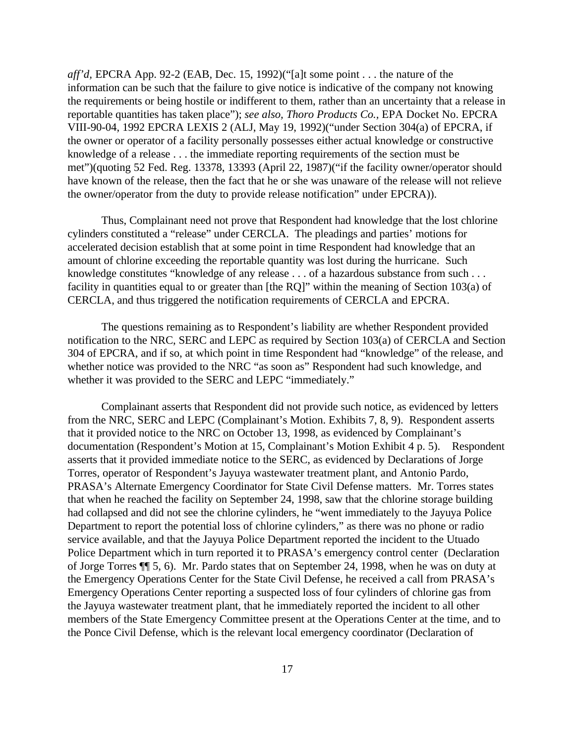*aff'd,* EPCRA App. 92-2 (EAB, Dec. 15, 1992)("[a]t some point . . . the nature of the information can be such that the failure to give notice is indicative of the company not knowing the requirements or being hostile or indifferent to them, rather than an uncertainty that a release in reportable quantities has taken place"); *see also, Thoro Products Co.,* EPA Docket No. EPCRA VIII-90-04, 1992 EPCRA LEXIS 2 (ALJ, May 19, 1992)("under Section 304(a) of EPCRA, if the owner or operator of a facility personally possesses either actual knowledge or constructive knowledge of a release . . . the immediate reporting requirements of the section must be met")(quoting 52 Fed. Reg. 13378, 13393 (April 22, 1987)("if the facility owner/operator should have known of the release, then the fact that he or she was unaware of the release will not relieve the owner/operator from the duty to provide release notification" under EPCRA)).

Thus, Complainant need not prove that Respondent had knowledge that the lost chlorine cylinders constituted a "release" under CERCLA. The pleadings and parties' motions for accelerated decision establish that at some point in time Respondent had knowledge that an amount of chlorine exceeding the reportable quantity was lost during the hurricane. Such knowledge constitutes "knowledge of any release . . . of a hazardous substance from such . . . facility in quantities equal to or greater than [the RQ]" within the meaning of Section 103(a) of CERCLA, and thus triggered the notification requirements of CERCLA and EPCRA.

The questions remaining as to Respondent's liability are whether Respondent provided notification to the NRC, SERC and LEPC as required by Section 103(a) of CERCLA and Section 304 of EPCRA, and if so, at which point in time Respondent had "knowledge" of the release, and whether notice was provided to the NRC "as soon as" Respondent had such knowledge, and whether it was provided to the SERC and LEPC "immediately."

Complainant asserts that Respondent did not provide such notice, as evidenced by letters from the NRC, SERC and LEPC (Complainant's Motion. Exhibits 7, 8, 9). Respondent asserts that it provided notice to the NRC on October 13, 1998, as evidenced by Complainant's documentation (Respondent's Motion at 15, Complainant's Motion Exhibit 4 p. 5). Respondent asserts that it provided immediate notice to the SERC, as evidenced by Declarations of Jorge Torres, operator of Respondent's Jayuya wastewater treatment plant, and Antonio Pardo, PRASA's Alternate Emergency Coordinator for State Civil Defense matters. Mr. Torres states that when he reached the facility on September 24, 1998, saw that the chlorine storage building had collapsed and did not see the chlorine cylinders, he "went immediately to the Jayuya Police Department to report the potential loss of chlorine cylinders," as there was no phone or radio service available, and that the Jayuya Police Department reported the incident to the Utuado Police Department which in turn reported it to PRASA's emergency control center (Declaration of Jorge Torres ¶¶ 5, 6). Mr. Pardo states that on September 24, 1998, when he was on duty at the Emergency Operations Center for the State Civil Defense, he received a call from PRASA's Emergency Operations Center reporting a suspected loss of four cylinders of chlorine gas from the Jayuya wastewater treatment plant, that he immediately reported the incident to all other members of the State Emergency Committee present at the Operations Center at the time, and to the Ponce Civil Defense, which is the relevant local emergency coordinator (Declaration of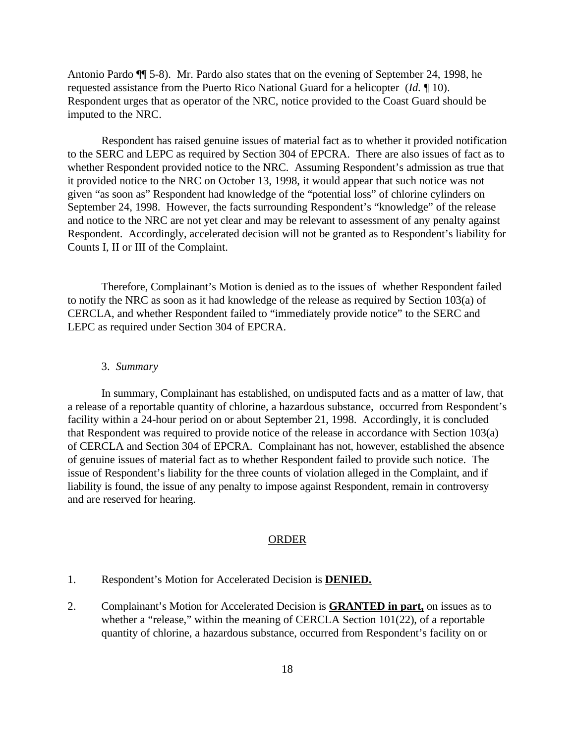Antonio Pardo ¶¶ 5-8). Mr. Pardo also states that on the evening of September 24, 1998, he requested assistance from the Puerto Rico National Guard for a helicopter (*Id.* ¶ 10). Respondent urges that as operator of the NRC, notice provided to the Coast Guard should be imputed to the NRC.

Respondent has raised genuine issues of material fact as to whether it provided notification to the SERC and LEPC as required by Section 304 of EPCRA. There are also issues of fact as to whether Respondent provided notice to the NRC. Assuming Respondent's admission as true that it provided notice to the NRC on October 13, 1998, it would appear that such notice was not given "as soon as" Respondent had knowledge of the "potential loss" of chlorine cylinders on September 24, 1998. However, the facts surrounding Respondent's "knowledge" of the release and notice to the NRC are not yet clear and may be relevant to assessment of any penalty against Respondent. Accordingly, accelerated decision will not be granted as to Respondent's liability for Counts I, II or III of the Complaint.

Therefore, Complainant's Motion is denied as to the issues of whether Respondent failed to notify the NRC as soon as it had knowledge of the release as required by Section 103(a) of CERCLA, and whether Respondent failed to "immediately provide notice" to the SERC and LEPC as required under Section 304 of EPCRA.

#### 3. *Summary*

In summary, Complainant has established, on undisputed facts and as a matter of law, that a release of a reportable quantity of chlorine, a hazardous substance, occurred from Respondent's facility within a 24-hour period on or about September 21, 1998. Accordingly, it is concluded that Respondent was required to provide notice of the release in accordance with Section 103(a) of CERCLA and Section 304 of EPCRA. Complainant has not, however, established the absence of genuine issues of material fact as to whether Respondent failed to provide such notice. The issue of Respondent's liability for the three counts of violation alleged in the Complaint, and if liability is found, the issue of any penalty to impose against Respondent, remain in controversy and are reserved for hearing.

#### ORDER

- 1. Respondent's Motion for Accelerated Decision is **DENIED.**
- 2. Complainant's Motion for Accelerated Decision is **GRANTED in part,** on issues as to whether a "release," within the meaning of CERCLA Section 101(22), of a reportable quantity of chlorine, a hazardous substance, occurred from Respondent's facility on or